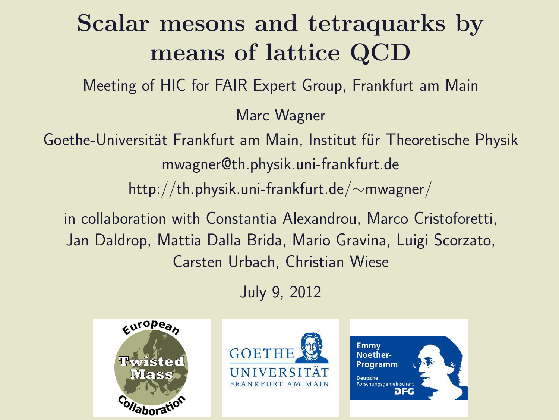### Scalar mesons and tetraquarks by means of lattice QCD

Meeting of HIC for FAIR Expert Group, Frankfurt am Main

Marc Wagner

Goethe-Universität Frankfurt am Main, Institut für Theoretische Physik mwagner@th.physik.uni-frankfurt.de http://th.physik.uni-frankfurt.de/∼mwagner/

in collaboration with Constantia Alexandrou, Marco Cristoforetti, Jan Daldrop, Mattia Dalla Brida, Mario Gravina, Luigi Scorzato, Carsten Urbach, Christian Wiese

July 9, 2012

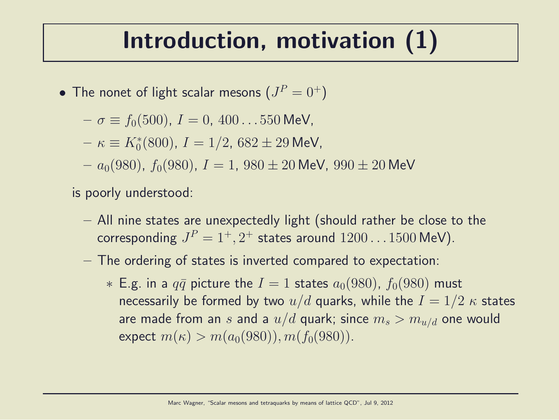#### Introduction, motivation (1)

- $\bullet\,$  The nonet of light scalar mesons  $(J^P=0^+)$ 
	- $-\sigma \equiv f_0(500), I = 0, 400...550$  MeV,
	- $\kappa \equiv K_0^*(800)$ ,  $I = 1/2$ ,  $682 \pm 29$  MeV,
	- $a_0(980)$ ,  $f_0(980)$ ,  $I = 1$ ,  $980 \pm 20$  MeV,  $990 \pm 20$  MeV

is poorly understood:

- All nine states are unexpectedly light (should rather be close to the corresponding  $J^P=1^+,2^+$  states around  $1200\ldots1500$  MeV).
- The ordering of states is inverted compared to expectation:
	- $*$  E.g. in a  $q\bar{q}$  picture the  $I = 1$  states  $a_0(980)$ ,  $f_0(980)$  must necessarily be formed by two  $u/d$  quarks, while the  $I = 1/2 \kappa$  states are made from an s and a  $u/d$  quark; since  $m_s > m_{u/d}$  one would expect  $m(\kappa) > m(a_0(980)), m(f_0(980)).$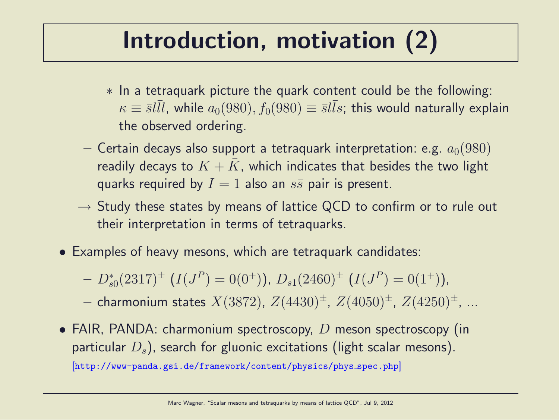### Introduction, motivation (2)

- ∗ In a tetraquark picture the quark content could be the following:  $\kappa \equiv {\bar s} l \bar l l$ , while  $a_0(980), f_0(980) \equiv {\bar s} l \bar l s$ ; this would naturally explain the observed ordering.
- Certain decays also support a tetraquark interpretation: e.g.  $a_0(980)$ readily decays to  $K + \bar{K}$ , which indicates that besides the two light quarks required by  $I = 1$  also an  $s\bar{s}$  pair is present.
- $\rightarrow$  Study these states by means of lattice QCD to confirm or to rule out their interpretation in terms of tetraquarks.
- Examples of heavy mesons, which are tetraquark candidates:
	- $-D_{s0}^{*}(2317)^{\pm}$   $(I(J^{P})=0(0^{+}))$ ,  $D_{s1}(2460)^{\pm}$   $(I(J^{P})=0(1^{+}))$ ,

- charmonium states  $X(3872)$ ,  $Z(4430)^{\pm}$ ,  $Z(4050)^{\pm}$ ,  $Z(4250)^{\pm}$ , ...

• FAIR, PANDA: charmonium spectroscopy,  $D$  meson spectroscopy (in particular  $D_s$ ), search for gluonic excitations (light scalar mesons). [http://www-panda.gsi.de/framework/content/physics/phys spec.php]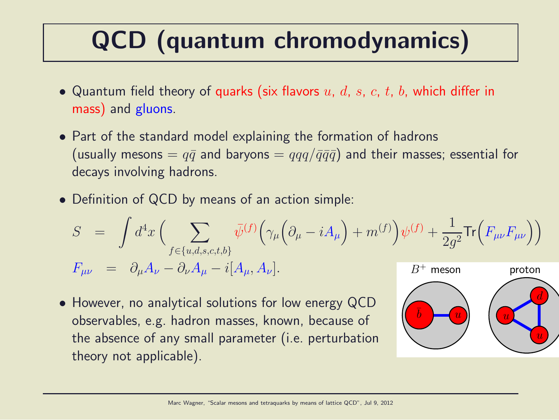## QCD (quantum chromodynamics)

- Quantum field theory of quarks (six flavors  $u, d, s, c, t, b$ , which differ in mass) and gluons.
- Part of the standard model explaining the formation of hadrons (usually mesons  $= q\bar{q}$  and baryons  $= qqq/\bar{q}\bar{q}\bar{q}$ ) and their masses; essential for decays involving hadrons.
- Definition of QCD by means of an action simple:

$$
S = \int d^4x \left( \sum_{f \in \{u,d,s,c,t,b\}} \bar{\psi}^{(f)} \Big( \gamma_\mu \Big( \partial_\mu - iA_\mu \Big) + m^{(f)} \Big) \psi^{(f)} + \frac{1}{2g^2} \text{Tr} \Big( F_{\mu\nu} F_{\mu\nu} \Big) \right)
$$
  

$$
F_{\mu\nu} = \partial_\mu A_\nu - \partial_\nu A_\mu - i[A_\mu, A_\nu].
$$
  
*B<sup>+</sup> meson proton*

• However, no analytical solutions for low energy QCD observables, e.g. hadron masses, known, because of the absence of any small parameter (i.e. perturbation theory not applicable).

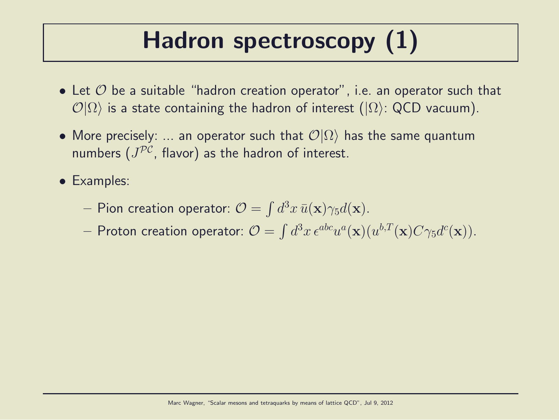## Hadron spectroscopy (1)

- Let  $\mathcal O$  be a suitable "hadron creation operator", i.e. an operator such that  $\mathcal{O}|\Omega\rangle$  is a state containing the hadron of interest ( $|\Omega\rangle$ : QCD vacuum).
- More precisely: ... an operator such that  $\mathcal{O}|\Omega\rangle$  has the same quantum numbers  $(J^{\mathcal{PC}},$  flavor) as the hadron of interest.
- Examples:
	- $-$  Pion creation operator:  $\mathcal{O} = \int d^3x \, \bar{u}(\mathbf{x}) \gamma_5 d(\mathbf{x}).$
	- $-$  Proton creation operator:  $\mathcal{O}=\int d^3x\,\epsilon^{abc}u^a(\mathbf{x})(u^{b,T}(\mathbf{x})C\gamma_5d^c(\mathbf{x})).$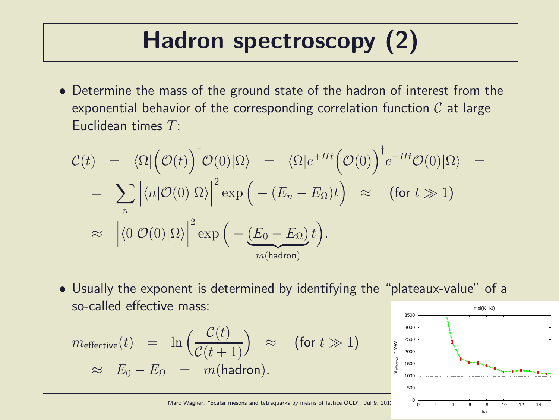## Hadron spectroscopy (2)

• Determine the mass of the ground state of the hadron of interest from the exponential behavior of the corresponding correlation function  $C$  at large Euclidean times  $T<sup>1</sup>$ 

$$
\mathcal{C}(t) = \langle \Omega | \left( \mathcal{O}(t) \right)^{\dagger} \mathcal{O}(0) | \Omega \rangle = \langle \Omega | e^{+Ht} \left( \mathcal{O}(0) \right)^{\dagger} e^{-Ht} \mathcal{O}(0) | \Omega \rangle =
$$
  
\n
$$
= \sum_{n} \left| \langle n | \mathcal{O}(0) | \Omega \rangle \right|^{2} \exp \left( - (E_{n} - E_{\Omega}) t \right) \approx \text{ (for } t \gg 1\text{)}
$$
  
\n
$$
\approx \left| \langle 0 | \mathcal{O}(0) | \Omega \rangle \right|^{2} \exp \left( - \underbrace{(E_{0} - E_{\Omega})}_{m \text{(hadron)}} t \right).
$$

• Usually the exponent is determined by identifying the "plateaux-value" of a so-called effective mass: mol(K+K))

$$
m_{\text{effective}}(t) = \ln\left(\frac{\mathcal{C}(t)}{\mathcal{C}(t+1)}\right) \approx \text{(for } t \gg 1\text{)}
$$
  

$$
\approx E_0 - E_\Omega = m(\text{hadron}).
$$

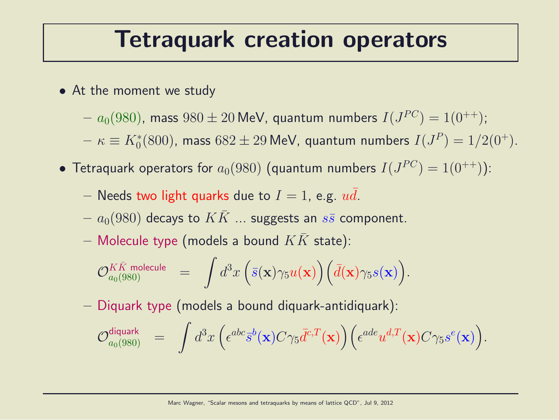#### Tetraquark creation operators

- At the moment we study
	- $a_0(980)$ , mass  $980\pm20$  MeV, quantum numbers  $I(J^{PC})=1(0^{++});$
	- $-\kappa\equiv K^*_0(800)$ , mass  $682\pm29$  MeV, quantum numbers  $I(J^P)=1/2(0^+).$
- $\bullet$  Tetraquark operators for  $a_0(980)$  (quantum numbers  $I(J^{PC})=1(0^{++}))$ :
	- Needs two light quarks due to  $I = 1$ , e.g.  $u\bar{d}$ .
	- $a_0(980)$  decays to  $KK$  ... suggests an  $s\bar{s}$  component.
	- Molecule type (models a bound  $KK$  state):

$$
\mathcal{O}_{a_0(980)}^{K\bar{K} \text{ molecule}} \quad = \quad \int d^3x \, \Big( \bar{s}(\mathbf{x}) \gamma_5 u(\mathbf{x}) \Big) \Big( \bar{d}(\mathbf{x}) \gamma_5 s(\mathbf{x}) \Big).
$$

– Diquark type (models a bound diquark-antidiquark):

$$
\mathcal{O}_{a_0(980)}^{\text{diquark}} \hspace{2mm} = \hspace{2mm} \int d^3x \hspace{0.05mm} \Big( \epsilon^{abc} \bar{s}^b(\mathbf{x}) C \gamma_5 \bar{d}^{c,T}(\mathbf{x}) \Big) \Big( \epsilon^{ade} u^{d,T}(\mathbf{x}) C \gamma_5 s^e(\mathbf{x}) \Big).
$$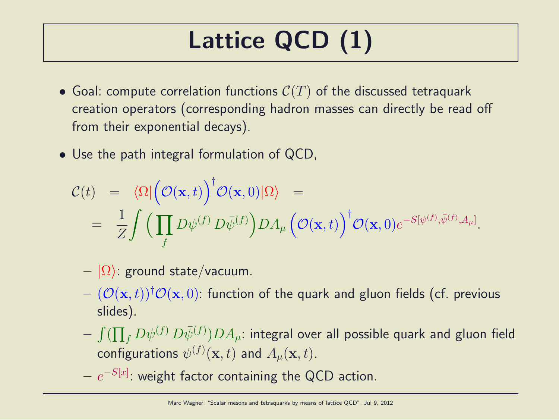## Lattice QCD (1)

- Goal: compute correlation functions  $C(T)$  of the discussed tetraquark creation operators (corresponding hadron masses can directly be read off from their exponential decays).
- Use the path integral formulation of QCD,

$$
\mathcal{C}(t) = \langle \Omega | \left( \mathcal{O}(\mathbf{x}, t) \right)^{\dagger} \mathcal{O}(\mathbf{x}, 0) | \Omega \rangle =
$$
  
= 
$$
\frac{1}{Z} \int \left( \prod_{f} D\psi^{(f)} D\bar{\psi}^{(f)} \right) DA_{\mu} \left( \mathcal{O}(\mathbf{x}, t) \right)^{\dagger} \mathcal{O}(\mathbf{x}, 0) e^{-S[\psi^{(f)}, \bar{\psi}^{(f)}, A_{\mu}]}.
$$

- $|\Omega\rangle$ : ground state/vacuum.
- $(\mathcal{O}(\mathbf{x}, t))^{\dagger} \mathcal{O}(\mathbf{x}, 0)$ : function of the quark and gluon fields (cf. previous slides).
- $\int (\prod_f D \psi^{(f)} \, D \bar \psi^{(f)} ) D A_\mu$ : integral over all possible quark and gluon field configurations  $\psi^{(f)}(\mathbf{x},t)$  and  $A_{\mu}(\mathbf{x},t).$
- $e^{-S[x]}.$  weight factor containing the QCD action.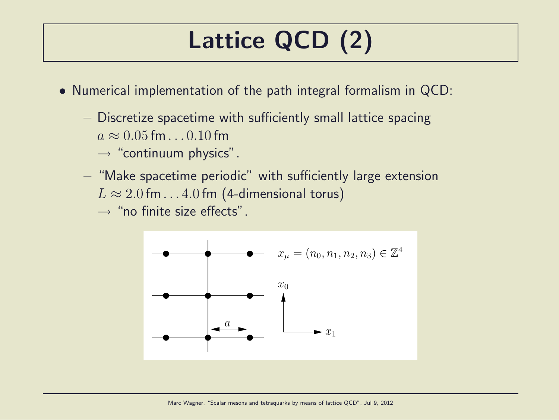## Lattice QCD (2)

- Numerical implementation of the path integral formalism in QCD:
	- Discretize spacetime with sufficiently small lattice spacing  $a \approx 0.05$  fm.  $0.10$  fm
		- $\rightarrow$  "continuum physics".
	- "Make spacetime periodic" with sufficiently large extension  $L \approx 2.0$  fm...4.0 fm (4-dimensional torus)

 $\rightarrow$  "no finite size effects".

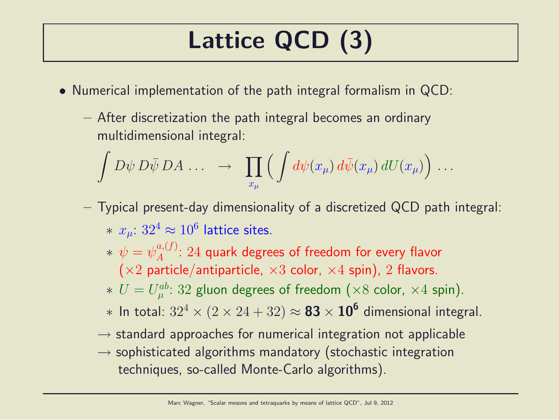## Lattice QCD (3)

- Numerical implementation of the path integral formalism in QCD:
	- After discretization the path integral becomes an ordinary multidimensional integral:

$$
\int D\psi \, D\bar{\psi} \, DA \, \ldots \quad \rightarrow \quad \prod_{x_{\mu}} \Big( \int d\psi(x_{\mu}) \, d\bar{\psi}(x_{\mu}) \, dU(x_{\mu}) \Big) \, \ldots
$$

- Typical present-day dimensionality of a discretized QCD path integral:  $* \; x_{\mu}$ :  $32^4 \approx 10^6$  lattice sites.
	- $*\,\,\psi=\psi_A^{a,(f)}$  $A^{a,(J)}$ :  $24$  quark degrees of freedom for every flavor  $(x2$  particle/antiparticle,  $x3$  color,  $x4$  spin), 2 flavors.
	- $* U = U_{\mu}^{ab}$  $\mathcal{P}_{\mu}^{ab}\colon 32$  gluon degrees of freedom  $(\times 8$  color,  $\times 4$  spin).
	- $*$  In total:  $32^4 \times (2 \times 24 + 32) \approx$   $\bf 83 \times 10^6$  dimensional integral.
	- $\rightarrow$  standard approaches for numerical integration not applicable
	- $\rightarrow$  sophisticated algorithms mandatory (stochastic integration techniques, so-called Monte-Carlo algorithms).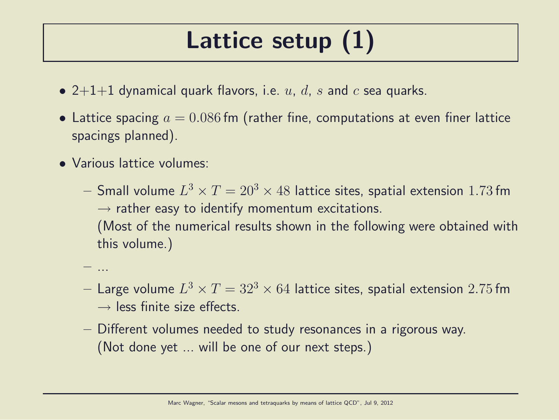### Lattice setup (1)

- 2+1+1 dynamical quark flavors, i.e.  $u, d, s$  and  $c$  sea quarks.
- Lattice spacing  $a = 0.086$  fm (rather fine, computations at even finer lattice spacings planned).
- Various lattice volumes:

– ...

- $-$  Small volume  $L^3\times T=20^3\times 48$  lattice sites, spatial extension  $1.73\,\mathrm{fm}$  $\rightarrow$  rather easy to identify momentum excitations. (Most of the numerical results shown in the following were obtained with this volume.)
- $-$  Large volume  $L^3\times T=32^3\times 64$  lattice sites, spatial extension  $2.75\,\mathrm{fm}$  $\rightarrow$  less finite size effects.
- Different volumes needed to study resonances in a rigorous way. (Not done yet ... will be one of our next steps.)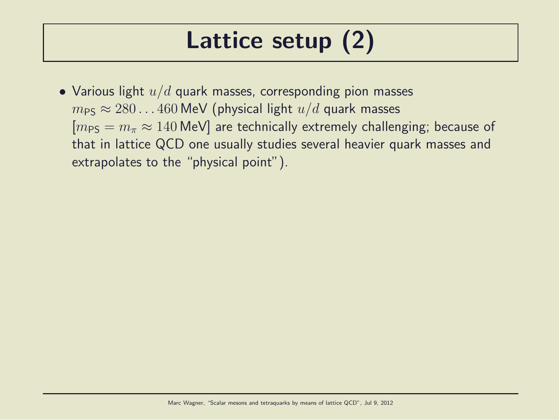### Lattice setup (2)

• Various light  $u/d$  quark masses, corresponding pion masses  $m_{PS} \approx 280...460$  MeV (physical light  $u/d$  quark masses  $[m_{PS} = m_{\pi} \approx 140 \text{ MeV}]$  are technically extremely challenging; because of that in lattice QCD one usually studies several heavier quark masses and extrapolates to the "physical point").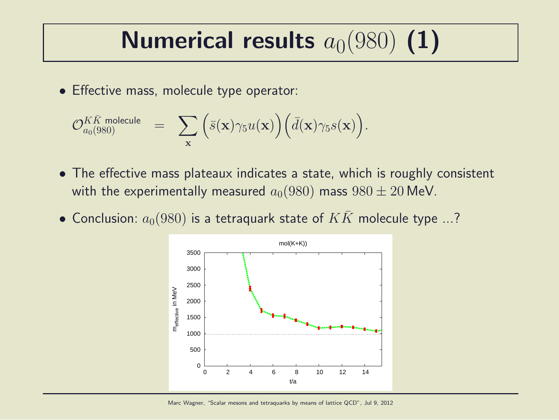# Numerical results  $a_0(980)$  (1)

• Effective mass, molecule type operator:

$$
\mathcal{O}_{a_0(980)}^{K\bar{K} \text{ molecule}} \quad = \quad \sum_{\mathbf{x}} \Big( \bar{s}(\mathbf{x}) \gamma_5 u(\mathbf{x}) \Big) \Big( \bar{d}(\mathbf{x}) \gamma_5 s(\mathbf{x}) \Big).
$$

- The effective mass plateaux indicates a state, which is roughly consistent with the experimentally measured  $a_0(980)$  mass  $980 \pm 20$  MeV.
- Conclusion:  $a_0(980)$  is a tetraquark state of  $KK$  molecule type ...?

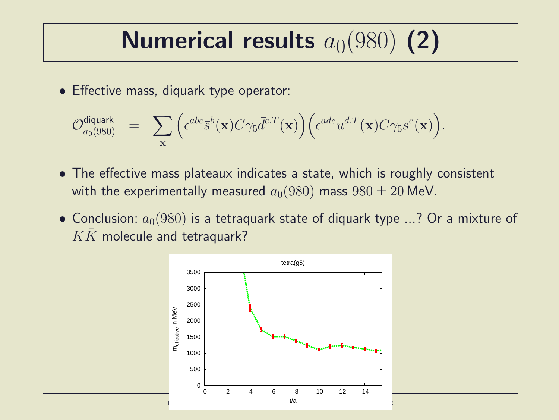# Numerical results  $a_0(980)$  (2)

• Effective mass, diquark type operator:

$$
\mathcal{O}_{a_0(980)}^{\text{diquark}} = \sum_{\mathbf{x}} \Big( \epsilon^{abc} \bar{s}^b(\mathbf{x}) C \gamma_5 \bar{d}^{c,T}(\mathbf{x}) \Big) \Big( \epsilon^{ade} u^{d,T}(\mathbf{x}) C \gamma_5 s^e(\mathbf{x}) \Big).
$$

- The effective mass plateaux indicates a state, which is roughly consistent with the experimentally measured  $a_0(980)$  mass  $980 \pm 20$  MeV.
- Conclusion:  $a_0(980)$  is a tetraguark state of diquark type ...? Or a mixture of  $K\bar{K}$  molecule and tetraquark?

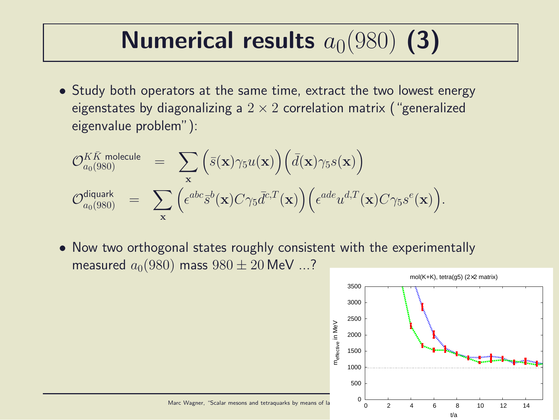# Numerical results  $a_0(980)$  (3)

• Study both operators at the same time, extract the two lowest energy eigenstates by diagonalizing a  $2 \times 2$  correlation matrix ("generalized eigenvalue problem"):

$$
\mathcal{O}_{a_0(980)}^{K\bar{K} \text{ molecule}} = \sum_{\mathbf{x}} (\bar{s}(\mathbf{x}) \gamma_5 u(\mathbf{x})) (\bar{d}(\mathbf{x}) \gamma_5 s(\mathbf{x}))
$$
  

$$
\mathcal{O}_{a_0(980)}^{\text{diquark}} = \sum_{\mathbf{x}} (\epsilon^{abc} \bar{s}^b(\mathbf{x}) C \gamma_5 \bar{d}^{c,T}(\mathbf{x})) (\epsilon^{ade} u^{d,T}(\mathbf{x}) C \gamma_5 s^e(\mathbf{x})).
$$

• Now two orthogonal states roughly consistent with the experimentally measured  $a_0(980)$  mass  $980 \pm 20$  MeV ...?

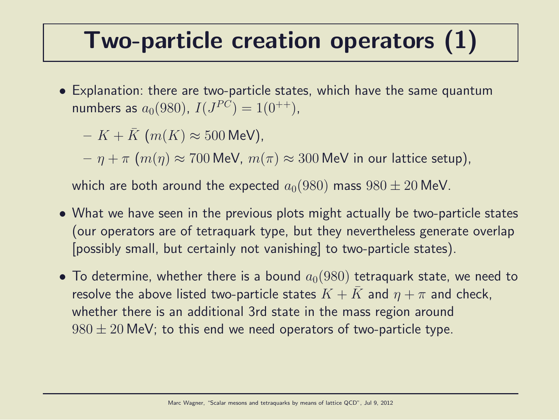#### Two-particle creation operators (1)

• Explanation: there are two-particle states, which have the same quantum numbers as  $a_0(980)$ ,  $I(J^{PC}) = 1(0^{++})$ ,

 $- K + K$  (m(K)  $\approx 500$  MeV).

 $-\eta + \pi$   $(m(\eta) \approx 700$  MeV,  $m(\pi) \approx 300$  MeV in our lattice setup),

which are both around the expected  $a_0(980)$  mass  $980 \pm 20$  MeV.

- What we have seen in the previous plots might actually be two-particle states (our operators are of tetraquark type, but they nevertheless generate overlap [possibly small, but certainly not vanishing] to two-particle states).
- To determine, whether there is a bound  $a_0(980)$  tetraquark state, we need to resolve the above listed two-particle states  $K + K$  and  $\eta + \pi$  and check, whether there is an additional 3rd state in the mass region around  $980 \pm 20$  MeV; to this end we need operators of two-particle type.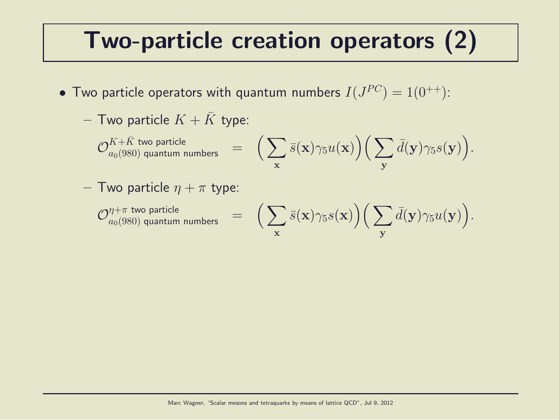#### Two-particle creation operators (2)

- $\bullet$  Two particle operators with quantum numbers  $I(J^{PC})=1(0^{++})$ :
	- Two particle  $K + K$  type:

 $\mathcal{O}_{a_0(980)}^{K+\bar{K}}$  two particle  $\qquad \qquad =\quad \Big(\sum \Big)$ x  $\bar{s}({\bf x})\gamma_5u({\bf x})\Big)\Big(\sum$ y  $\bar{d}(\mathbf{y})\gamma_5 s(\mathbf{y})\Big).$ 

– Two particle  $\eta + \pi$  type:

 $\mathcal{O}^{\eta+\pi}_{a_0(980)}$  quantum numbers  $\quad =$ 

$$
\Big(\sum_{\mathbf{x}}\bar{s}(\mathbf{x})\gamma_5 s(\mathbf{x})\Big)\Big(\sum_{\mathbf{y}}\bar{d}(\mathbf{y})\gamma_5 u(\mathbf{y})\Big).
$$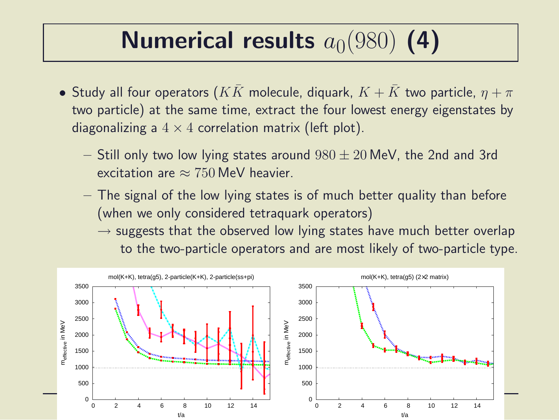# Numerical results  $a_0(980)$  (4)

- Study all four operators  $(KK)$  molecule, diquark,  $K + K$  two particle,  $\eta + \pi$ two particle) at the same time, extract the four lowest energy eigenstates by diagonalizing a  $4 \times 4$  correlation matrix (left plot).
	- $-$  Still only two low lying states around  $980 \pm 20$  MeV, the 2nd and 3rd excitation are  $\approx 750$  MeV heavier.
	- The signal of the low lying states is of much better quality than before (when we only considered tetraquark operators)
		- $\rightarrow$  suggests that the observed low lying states have much better overlap to the two-particle operators and are most likely of two-particle type.

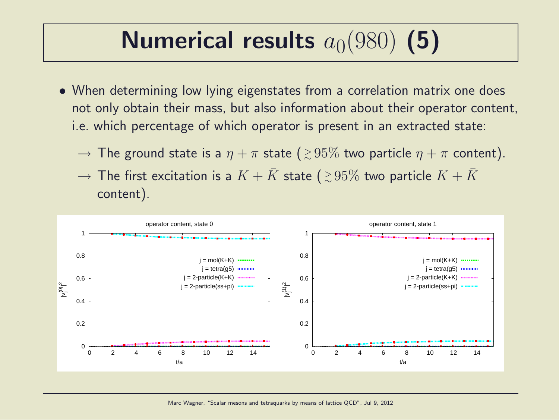# Numerical results  $a_0(980)$  (5)

- When determining low lying eigenstates from a correlation matrix one does not only obtain their mass, but also information about their operator content, i.e. which percentage of which operator is present in an extracted state:
	- $\rightarrow$  The ground state is a  $\eta+\pi$  state (  ${\gtrsim}\,95\%$  two particle  $\eta+\pi$  content).
	- $\rightarrow$  The first excitation is a  $K + \bar{K}$  state (  ${\gtrsim}\,95\%$  two particle  $K + \bar{K}$ content).

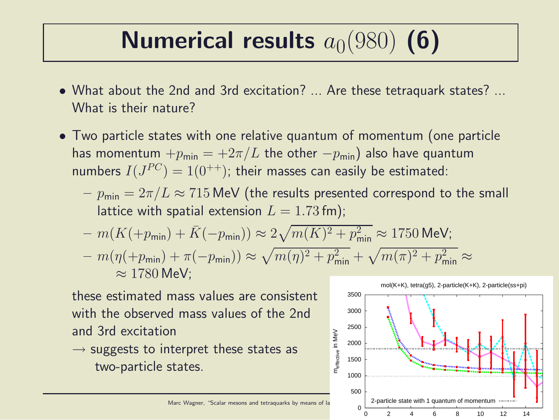# Numerical results  $a_0(980)$  (6)

- What about the 2nd and 3rd excitation? ... Are these tetraquark states? ... What is their nature?
- Two particle states with one relative quantum of momentum (one particle has momentum  $+p_{\text{min}} = +2\pi/L$  the other  $-p_{\text{min}}$ ) also have quantum numbers  $I(J^{PC})=1(0^{++})$ ; their masses can easily be estimated:
	- $-p_{\text{min}} = 2\pi/L \approx 715$  MeV (the results presented correspond to the small lattice with spatial extension  $L = 1.73$  fm);
	- $m(K(+p_{\text{min}}) + \bar{K}(-p_{\text{min}})) \approx 2\sqrt{m(K)^2 + p_{\text{min}}^2} \approx 1750 \text{ MeV};$  $-m(\eta(+p_{\text{min}}) + \pi(-p_{\text{min}})) \approx \sqrt{m(\eta)^2 + p_{\text{min}}^2} + \sqrt{m(\pi)^2 + p_{\text{min}}^2} \approx$  $\approx 1780$  MeV:

these estimated mass values are consistent with the observed mass values of the 2nd and 3rd excitation

 $\rightarrow$  suggests to interpret these states as two-particle states.



Marc Wagner, "Scalar mesons and tetraquarks by means of la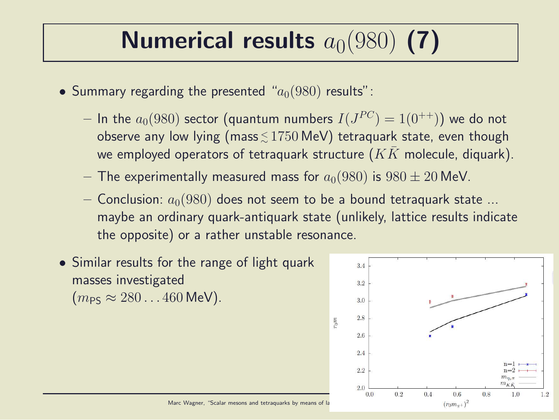# Numerical results  $a_0(980)$  (7)

- Summary regarding the presented " $a_0(980)$  results":
	- $-$  In the  $a_0(980)$  sector (quantum numbers  $I(J^{PC})=1(0^{++}))$  we do not observe any low lying (mass ${\lesssim}\,1750\,\text{MeV})$  tetraquark state, even though we employed operators of tetraquark structure  $(K\bar{K})$  molecule, diquark).
	- The experimentally measured mass for  $a_0(980)$  is  $980 \pm 20$  MeV.
	- Conclusion:  $a_0(980)$  does not seem to be a bound tetraquark state ... maybe an ordinary quark-antiquark state (unlikely, lattice results indicate the opposite) or a rather unstable resonance.
- Similar results for the range of light quark masses investigated  $(m_{PS} \approx 280...460 \text{ MeV}).$

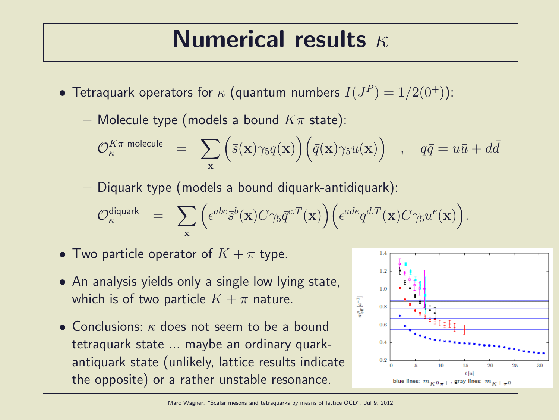#### Numerical results  $\kappa$

- Tetraquark operators for  $\kappa$  (quantum numbers  $I(J^P)=1/2(0^+))$ :
	- Molecule type (models a bound  $K\pi$  state):

$$
\mathcal{O}_\kappa^{K\pi \text{ molecule}} \quad = \quad \sum_{\mathbf{x}} \Big( \bar{s}(\mathbf{x}) \gamma_5 q(\mathbf{x}) \Big) \Big( \bar{q}(\mathbf{x}) \gamma_5 u(\mathbf{x}) \Big) \quad , \quad q\bar{q} = u\bar{u} + d\bar{d}
$$

– Diquark type (models a bound diquark-antidiquark):

$$
\mathcal{O}_\kappa^{\text{diquark}} \;\; = \;\; \sum_{\mathbf{x}} \Big( \epsilon^{abc} \bar{s}^b(\mathbf{x}) C \gamma_5 \bar{q}^{c,T}(\mathbf{x}) \Big) \Big( \epsilon^{ade} q^{d,T}(\mathbf{x}) C \gamma_5 u^e(\mathbf{x}) \Big).
$$

- Two particle operator of  $K + \pi$  type.
- An analysis yields only a single low lying state, which is of two particle  $K + \pi$  nature.
- Conclusions: κ does not seem to be a bound tetraquark state ... maybe an ordinary quarkantiquark state (unlikely, lattice results indicate the opposite) or a rather unstable resonance.

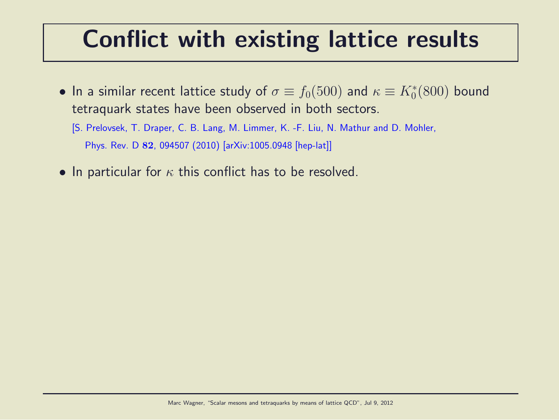#### Conflict with existing lattice results

- $\bullet$  In a similar recent lattice study of  $\sigma \equiv f_0(500)$  and  $\kappa \equiv K^*_0(800)$  bound tetraquark states have been observed in both sectors.
	- [S. Prelovsek, T. Draper, C. B. Lang, M. Limmer, K. -F. Liu, N. Mathur and D. Mohler, Phys. Rev. D 82, 094507 (2010) [arXiv:1005.0948 [hep-lat]]
- In particular for  $\kappa$  this conflict has to be resolved.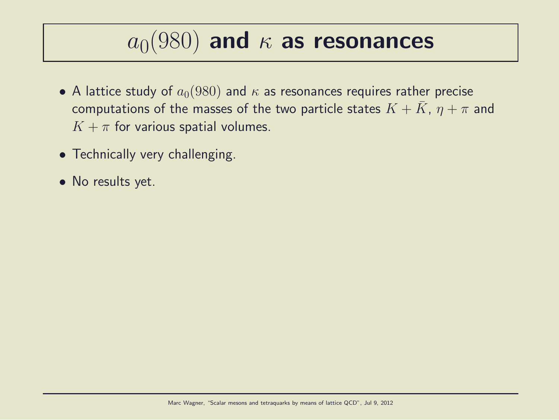## $a_0(980)$  and  $\kappa$  as resonances

- A lattice study of  $a_0(980)$  and  $\kappa$  as resonances requires rather precise computations of the masses of the two particle states  $K + K$ ,  $\eta + \pi$  and  $K + \pi$  for various spatial volumes.
- Technically very challenging.
- No results yet.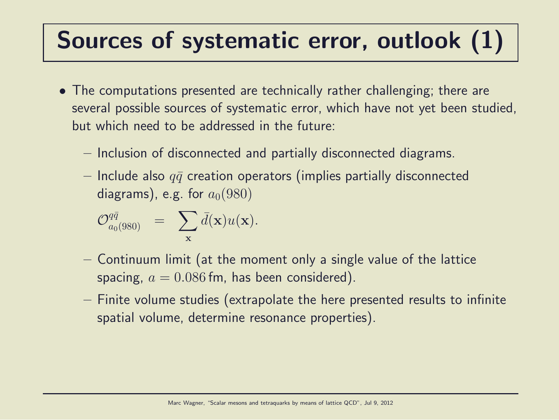### Sources of systematic error, outlook (1)

- The computations presented are technically rather challenging; there are several possible sources of systematic error, which have not yet been studied, but which need to be addressed in the future:
	- Inclusion of disconnected and partially disconnected diagrams.
	- $-$  Include also  $q\bar{q}$  creation operators (implies partially disconnected diagrams), e.g. for  $a_0(980)$

$$
\mathcal{O}_{a_0(980)}^{q\bar{q}} = \sum_{\mathbf{x}} \bar{d}(\mathbf{x}) u(\mathbf{x}).
$$

- Continuum limit (at the moment only a single value of the lattice spacing,  $a = 0.086$  fm, has been considered).
- Finite volume studies (extrapolate the here presented results to infinite spatial volume, determine resonance properties).